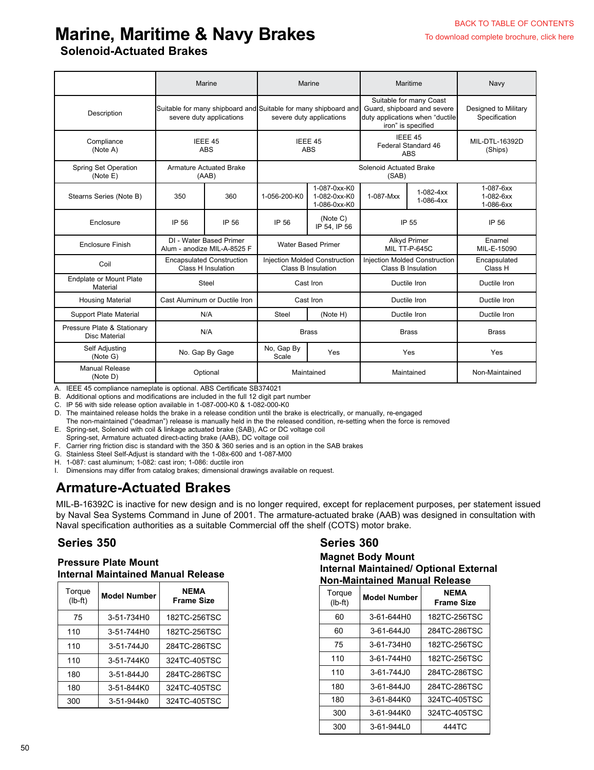# **Marine, Maritime & Navy Brakes**

### **Solenoid-Actuated Brakes**

|                                              | Marine                                                 |                                                                                     |                                                                                             | Marine                                       | Maritime                                                                                                        |                                                            | Navy                                      |
|----------------------------------------------|--------------------------------------------------------|-------------------------------------------------------------------------------------|---------------------------------------------------------------------------------------------|----------------------------------------------|-----------------------------------------------------------------------------------------------------------------|------------------------------------------------------------|-------------------------------------------|
| Description                                  | severe duty applications                               |                                                                                     | Suitable for many shipboard and Suitable for many shipboard and<br>severe duty applications |                                              | Suitable for many Coast<br>Guard, shipboard and severe<br>duty applications when "ductile<br>iron" is specified |                                                            | Designed to Military<br>Specification     |
| Compliance<br>(Note A)                       | IEEE 45<br><b>ABS</b>                                  |                                                                                     | IEEE 45<br>ABS                                                                              |                                              | IEEE 45<br>Federal Standard 46<br><b>ABS</b>                                                                    |                                                            | MIL-DTL-16392D<br>(Ships)                 |
| Spring Set Operation<br>(Note E)             |                                                        | <b>Armature Actuated Brake</b><br>(AAB)                                             | Solenoid Actuated Brake<br>(SAB)                                                            |                                              |                                                                                                                 |                                                            |                                           |
| Stearns Series (Note B)                      | 350                                                    | 360                                                                                 | 1-056-200-K0                                                                                | 1-087-0xx-K0<br>1-082-0xx-K0<br>1-086-0xx-K0 | 1-087-Mxx                                                                                                       | $1-082-4xx$<br>$1-086-4xx$                                 | 1-087-6xx<br>$1 - 082 - 6xx$<br>1-086-6xx |
| Enclosure                                    | IP 56                                                  | IP 56                                                                               | IP 56                                                                                       | (Note C)<br>IP 54, IP 56                     |                                                                                                                 | IP 55                                                      | IP 56                                     |
| <b>Enclosure Finish</b>                      |                                                        | DI - Water Based Primer<br><b>Water Based Primer</b><br>Alum - anodize MIL-A-8525 F |                                                                                             |                                              |                                                                                                                 | Alkyd Primer<br>MIL TT-P-645C                              | Enamel<br>MIL-E-15090                     |
| Coil                                         | <b>Encapsulated Construction</b><br>Class H Insulation |                                                                                     | <b>Injection Molded Construction</b><br>Class B Insulation                                  |                                              |                                                                                                                 | <b>Injection Molded Construction</b><br>Class B Insulation | Encapsulated<br>Class H                   |
| <b>Endplate or Mount Plate</b><br>Material   |                                                        | Steel                                                                               | Cast Iron                                                                                   |                                              | Ductile Iron                                                                                                    |                                                            | Ductile Iron                              |
| <b>Housing Material</b>                      |                                                        | Cast Aluminum or Ductile Iron                                                       | Cast Iron                                                                                   |                                              | Ductile Iron                                                                                                    |                                                            | Ductile Iron                              |
| <b>Support Plate Material</b>                | N/A                                                    |                                                                                     | <b>Steel</b>                                                                                | (Note H)                                     |                                                                                                                 | Ductile Iron                                               | Ductile Iron                              |
| Pressure Plate & Stationary<br>Disc Material | N/A                                                    |                                                                                     | <b>Brass</b>                                                                                |                                              | <b>Brass</b>                                                                                                    |                                                            | <b>Brass</b>                              |
| Self Adjusting<br>(Note G)                   | No. Gap By Gage                                        |                                                                                     | No, Gap By<br>Scale                                                                         | Yes                                          |                                                                                                                 | Yes                                                        | Yes                                       |
| Manual Release<br>(Note D)                   | Optional                                               |                                                                                     | Maintained                                                                                  |                                              | Maintained                                                                                                      |                                                            | Non-Maintained                            |

A. IEEE 45 compliance nameplate is optional. ABS Certificate SB374021

B. Additional options and modifications are included in the full 12 digit part number

C. IP 56 with side release option available in 1-087-000-K0 & 1-082-000-K0

D. The maintained release holds the brake in a release condition until the brake is electrically, or manually, re-engaged

The non-maintained ("deadman") release is manually held in the the released condition, re-setting when the force is removed

E. Spring-set, Solenoid with coil & linkage actuated brake (SAB), AC or DC voltage coil

Spring-set, Armature actuated direct-acting brake (AAB), DC voltage coil

F. Carrier ring friction disc is standard with the 350 & 360 series and is an option in the SAB brakes

G. Stainless Steel Self-Adjust is standard with the 1-08x-600 and 1-087-M00

H. 1-087: cast aluminum; 1-082: cast iron; 1-086: ductile iron

I. Dimensions may differ from catalog brakes; dimensional drawings available on request.

## **Armature-Actuated Brakes**

MIL-B-16392C is inactive for new design and is no longer required, except for replacement purposes, per statement issued by Naval Sea Systems Command in June of 2001. The armature-actuated brake (AAB) was designed in consultation with Naval specification authorities as a suitable Commercial off the shelf (COTS) motor brake.

#### **Series 350 Series 360**

#### **Pressure Plate Mount Internal Maintained Manual Release**

| Torque<br>$(lb-ft)$ | <b>Model Number</b>      | <b>NEMA</b><br><b>Frame Size</b> |  |  |
|---------------------|--------------------------|----------------------------------|--|--|
| 75                  | 3-51-734H0               | 182TC-256TSC                     |  |  |
| 110                 | $3 - 51 - 744$ H $\odot$ | 182TC-256TSC                     |  |  |
| 110                 | $3 - 51 - 744.10$        | 284TC-286TSC                     |  |  |
| 110                 | 3-51-744K0               | 324TC-405TSC                     |  |  |
| 180                 | 3-51-844J0               | 284TC-286TSC                     |  |  |
| 180                 | 3-51-844K0               | 324TC-405TSC                     |  |  |
| 300                 | 3-51-944k0               | 324TC-405TSC                     |  |  |

#### **Magnet Body Mount Internal Maintained/ Optional External Non-Maintained Manual Release**

| Torque<br>$(lb-ft)$ | <b>Model Number</b> | <b>NEMA</b><br><b>Frame Size</b> |  |  |
|---------------------|---------------------|----------------------------------|--|--|
| 60                  | 3-61-644H0          | 182TC-256TSC                     |  |  |
| 60                  | $3 - 61 - 644.10$   | 284TC-286TSC                     |  |  |
| 75                  | 3-61-734H0          | 182TC-256TSC                     |  |  |
| 110                 | 3-61-744H0          | 182TC-256TSC                     |  |  |
| 110                 | $3 - 61 - 744.10$   | 284TC-286TSC                     |  |  |
| 180                 | $3 - 61 - 844.10$   | 284TC-286TSC                     |  |  |
| 180                 | 3-61-844K0          | 324TC-405TSC                     |  |  |
| 300                 | 3-61-944K0          | 324TC-405TSC                     |  |  |
| 300                 | $3 - 61 - 94410$    | 444TC                            |  |  |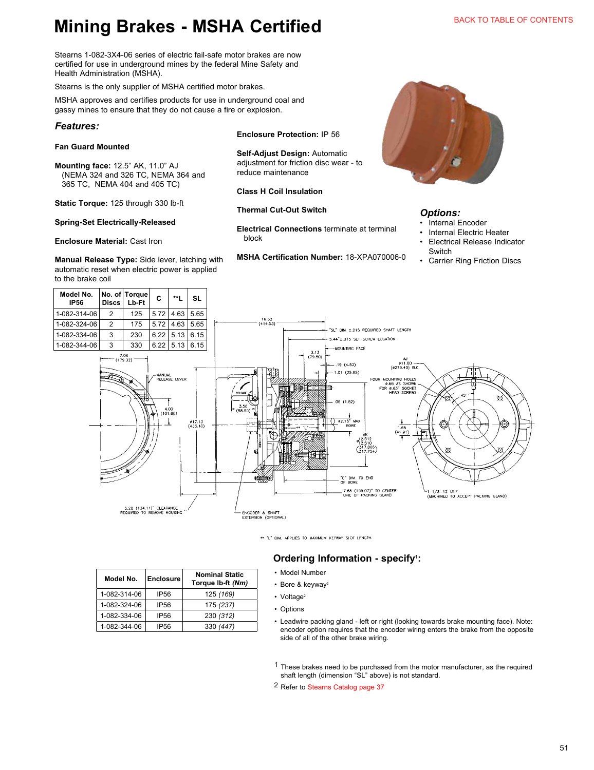# **Mining Brakes - MSHA Certified**

Stearns 1-082-3X4-06 series of electric fail-safe motor brakes are now certified for use in underground mines by the federal Mine Safety and Health Administration (MSHA).

Stearns is the only supplier of MSHA certified motor brakes.

MSHA approves and certifies products for use in underground coal and gassy mines to ensure that they do not cause a fire or explosion.

#### *Features:*

**Model No.** 

#### **Fan Guard Mounted**

**Mounting face:** 12.5" AK, 11.0" AJ (NEMA 324 and 326 TC, NEMA 364 and 365 TC, NEMA 404 and 405 TC)

**Static Torque:** 125 through 330 lb-ft

#### **Spring-Set Electrically-Released**

#### **Enclosure Material:** Cast Iron

**Manual Release Type:** Side lever, latching with automatic reset when electric power is applied to the brake coil

**Model No. Enclosure Nominal Static** 

1-082-314-06 IP56 125 *(169)* 1-082-324-06 IP56 175 *(237)* 1-082-334-06 IP56 230 *(312)* 1-082-344-06 IP56 330 *(447)*

**Torque lb-ft** *(Nm)*



**Self-Adjust Design:** Automatic adjustment for friction disc wear - to reduce maintenance

**Class H Coil Insulation**

**Thermal Cut-Out Switch**

**Electrical Connections** terminate at terminal block

**MSHA Certification Number:** 18-XPA070006-0



#### *Options:*

- **Internal Encoder**
- Internal Electric Heater
- Electrical Release Indicator **Switch**
- Carrier Ring Friction Discs



\*\* "I" DIM. APPLIES TO MAXIMUM KEYWAY SLOT LENGTH

#### **Ordering Information - specify<sup>1</sup>:**

- Model Number
- 
- Leadwire packing gland left or right (looking towards brake mounting face). Note: encoder option requires that the encoder wiring enters the brake from the opposite side of all of the other brake wiring.

1 These brakes need to be purchased from the motor manufacturer, as the required shaft length (dimension "SL" above) is not standard.

2 Refer to Stearns Catalog page 37

# • Bore & keyway<sup>2</sup>

- Voltage<sup>2</sup>
- Options

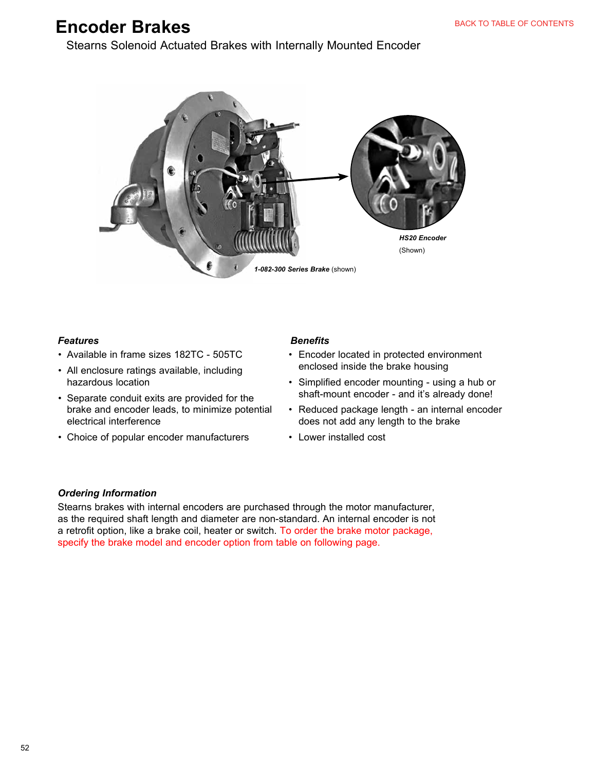# **Encoder Brakes**

Stearns Solenoid Actuated Brakes with Internally Mounted Encoder



#### *Features*

- Available in frame sizes 182TC 505TC
- All enclosure ratings available, including hazardous location
- Separate conduit exits are provided for the brake and encoder leads, to minimize potential electrical interference
- Choice of popular encoder manufacturers

#### *Benefits*

- Encoder located in protected environment enclosed inside the brake housing
- Simplified encoder mounting using a hub or shaft-mount encoder - and it's already done!
- Reduced package length an internal encoder does not add any length to the brake
- Lower installed cost

#### *Ordering Information*

Stearns brakes with internal encoders are purchased through the motor manufacturer, as the required shaft length and diameter are non-standard. An internal encoder is not a retrofit option, like a brake coil, heater or switch. To order the brake motor package, specify the brake model and encoder option from table on following page.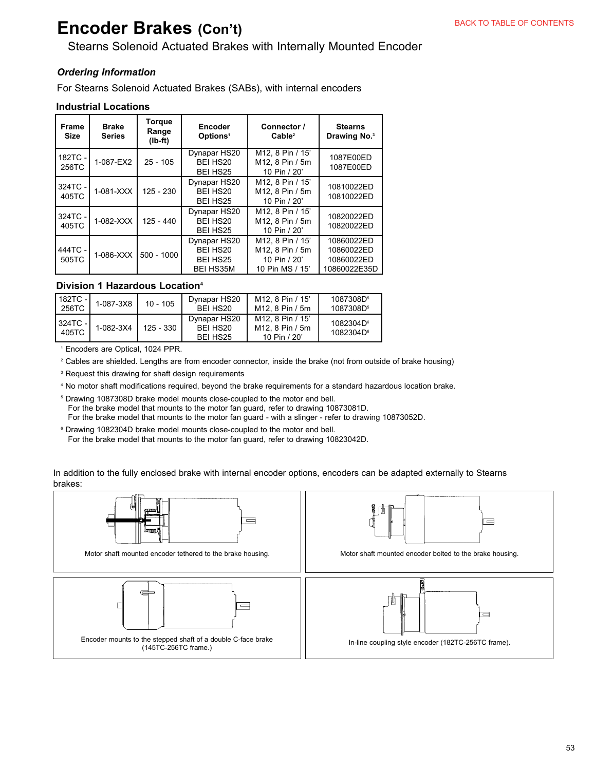# **Encoder Brakes (Con't)**

### Stearns Solenoid Actuated Brakes with Internally Mounted Encoder

#### *Ordering Information*

For Stearns Solenoid Actuated Brakes (SABs), with internal encoders

#### **Industrial Locations**

| <b>Frame</b><br><b>Size</b> | <b>Brake</b><br><b>Series</b> | Torque<br>Range<br>$(Ib-ft)$ | Encoder<br>Options <sup>1</sup>                          | Connector /<br>Cable <sup>2</sup>                                      | <b>Stearns</b><br>Drawing No. <sup>3</sup>             |
|-----------------------------|-------------------------------|------------------------------|----------------------------------------------------------|------------------------------------------------------------------------|--------------------------------------------------------|
| 182TC -<br>256TC            | 1-087-EX2                     | $25 - 105$                   | Dynapar HS20<br>BEI HS20<br>BEI HS25                     | M12. 8 Pin / 15'<br>M12. 8 Pin / 5m<br>10 Pin / 20'                    | 1087E00ED<br>1087E00ED                                 |
| 324TC -<br>405TC            | $1-081-XXX$                   | 125 - 230                    | Dynapar HS20<br>BEI HS20<br>BEI HS25                     | M12. 8 Pin / 15'<br>M12. 8 Pin / 5m<br>10 Pin / 20'                    | 10810022ED<br>10810022ED                               |
| 324TC -<br>405TC            | 1-082-XXX                     | $125 - 440$                  | Dynapar HS20<br>BEI HS20<br>BEI HS25                     | M12. 8 Pin / 15'<br>M12. 8 Pin / 5m<br>10 Pin / 20'                    | 10820022ED<br>10820022ED                               |
| 444TC -<br>505TC            | $1-086-XXX$                   | $500 - 1000$                 | Dynapar HS20<br>BEI HS20<br>BEI HS25<br><b>BEI HS35M</b> | M12. 8 Pin / 15'<br>M12. 8 Pin / 5m<br>10 Pin / 20'<br>10 Pin MS / 15' | 10860022ED<br>10860022ED<br>10860022ED<br>10860022E35D |

#### **Division 1 Hazardous Location4**

| l 182TC -<br>256TC | 1-087-3X8 | $10 - 105$ | Dynapar HS20<br>BFI HS <sub>20</sub> | M <sub>12</sub> . 8 Pin / 15'<br>M <sub>12</sub> 8 Pin / 5m                 | 1087308D <sup>5</sup><br>1087308D <sup>5</sup> |
|--------------------|-----------|------------|--------------------------------------|-----------------------------------------------------------------------------|------------------------------------------------|
| I 324TC -<br>405TC | 1-082-3X4 | 125 - 330  | Dynapar HS20<br>BELHS20<br>BEI HS25  | M <sub>12</sub> 8 Pin / 15'<br>M <sub>12</sub> . 8 Pin / 5m<br>10 Pin / 20' | 1082304D <sup>6</sup><br>1082304D <sup>6</sup> |

1 Encoders are Optical, 1024 PPR.

<sup>2</sup> Cables are shielded. Lengths are from encoder connector, inside the brake (not from outside of brake housing)

<sup>3</sup> Request this drawing for shaft design requirements

4 No motor shaft modifications required, beyond the brake requirements for a standard hazardous location brake.

 5 Drawing 1087308D brake model mounts close-coupled to the motor end bell. For the brake model that mounts to the motor fan guard, refer to drawing 10873081D. For the brake model that mounts to the motor fan guard - with a slinger - refer to drawing 10873052D.

<sup>6</sup> Drawing 1082304D brake model mounts close-coupled to the motor end bell. For the brake model that mounts to the motor fan guard, refer to drawing 10823042D.

In addition to the fully enclosed brake with internal encoder options, encoders can be adapted externally to Stearns brakes:

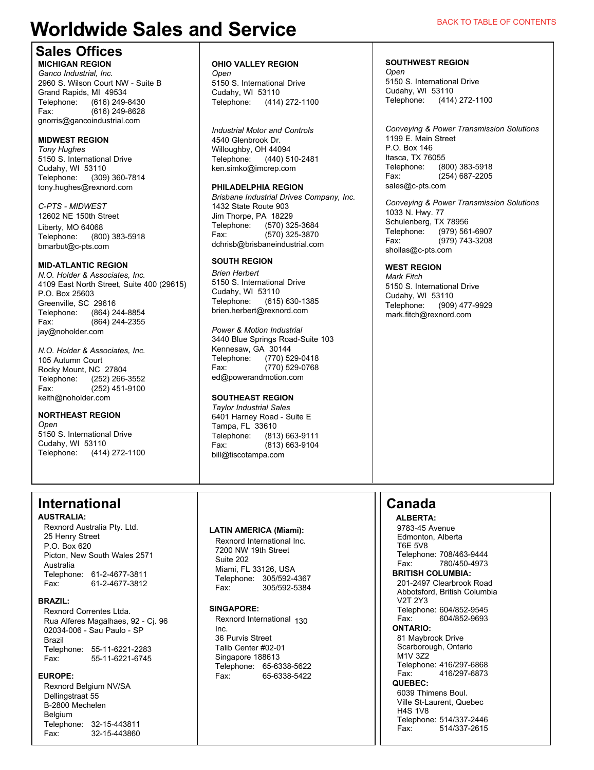# **Worldwide Sales and Service**

### **Sales Offices**

#### **MICHIGAN REGION**

*Ganco Industrial, Inc.* 2960 S. Wilson Court NW - Suite B Grand Rapids, MI 49534 Telephone: (616) 249-8430 Fax: (616) 249-8628 gnorris@gancoindustrial.com

#### **MIDWEST REGION**

*Tony Hughes* 5150 S. International Drive Cudahy, WI 53110 Telephone: (309) 360-7814 tony.hughes@rexnord.com

*C-PTS - MIDWEST* 12602 NE 150th Street Liberty, MO 64068 Telephone: (800) 383-5918 bmarbut@c-pts.com

#### **MID-ATLANTIC REGION**

*N.O. Holder & Associates, Inc.* 4109 East North Street, Suite 400 (29615) P.O. Box 25603 Greenville, SC 29616<br>Telephone: (864) 2 (864) 244-8854 Fax: (864) 244-2355 jay@noholder.com

*N.O. Holder & Associates, Inc.* 105 Autumn Court Rocky Mount, NC 27804 Telephone: (252) 266-3552 Fax: (252) 451-9100 keith@noholder.com

#### **NORTHEAST REGION**

*Open* 5150 S. International Drive Cudahy, WI 53110 Telephone: (414) 272-1100

## **International**

**AUSTRALIA:** Rexnord Australia Pty. Ltd. 25 Henry Street P.O. Box 620 Picton, New South Wales 2571 Australia Telephone: 61-2-4677-3811<br>Fax: 61-2-4677-3812 Fax: 61-2-4677-3812

#### **BRAZIL:**

Rexnord Correntes Ltda. Rua Alferes Magalhaes, 92 - Cj. 96 02034-006 - Sau Paulo - SP Brazil Telephone: 55-11-6221-2283 Fax: 55-11-6221-6745

#### **EUROPE:**

Rexnord Belgium NV/SA Dellingstraat 55 B-2800 Mechelen Belgium Telephone: 32-15-443811 Fax: 32-15-443860

### **OHIO VALLEY REGION**

*Open* 5150 S. International Drive Cudahy, WI 53110 Telephone: (414) 272-1100

*Industrial Motor and Controls* 4540 Glenbrook Dr. Willoughby, OH 44094<br>Telephone: (440) 5 (440) 510-2481 ken.simko@imcrep.com

#### **PHILADELPHIA REGION**

*Brisbane Industrial Drives Company, Inc.* 1432 State Route 903 Jim Thorpe, PA 18229<br>Telephone: (570) 32 Telephone: (570) 325-3684<br>Eax: (570) 325-3870  $(570)$  325-3870 dchrisb@brisbaneindustrial.com

#### **SOUTH REGION**

*Brien Herbert* 5150 S. International Drive Cudahy, WI 53110 Telephone: (615) 630-1385 brien.herbert@rexnord.com

*Power & Motion Industrial* 3440 Blue Springs Road-Suite 103 Kennesaw, GA 30144 Telephone: (770) 529-0418<br>Fax: (770) 529-0768  $(770)$  529-0768 ed@powerandmotion.com

#### **SOUTHEAST REGION**

*Taylor Industrial Sales* 6401 Harney Road - Suite E Tampa, FL 33610<br>Telephone: (813 Telephone: (813) 663-9111 Fax: (813) 663-9104 bill@tiscotampa.com

#### **LATIN AMERICA (Miami):**

Rexnord International Inc. 7200 NW 19th Street Suite 202 Miami, FL 33126, USA Telephone: 305/592-4367 Fax: 305/592-5384

#### **SINGAPORE:**

Rexnord International 130 Inc. 36 Purvis Street Talib Center #02-01 Singapore 188613 Telephone: 65-6338-5622 Fax: 65-6338-5422

#### **SOUTHWEST REGION**

*Open* 5150 S. International Drive Cudahy, WI 53110 Telephone: (414) 272-1100

*Conveying & Power Transmission Solutions* 1199 E. Main Street P.O. Box 146 Itasca, TX 76055<br>Telephone: (8 (800) 383-5918 Fax: (254) 687-2205 sales@c-pts.com

*Conveying & Power Transmission Solutions* 1033 N. Hwy. 77 Schulenberg, TX 78956<br>Telephone: (979) 56 (979) 561-6907 Fax: (979) 743-3208 shollas@c-pts.com

#### **WEST REGION**

*Mark Fitch* 5150 S. International Drive Cudahy, WI 53110<br>Telephone: (909) (909) 477-9929 mark.fitch@rexnord.com

# **Canada**

 **ALBERTA:** 9783-45 Avenue Edmonton, Alberta T6E 5V8 Telephone: 708/463-9444<br>Eax: 780/450-4973 Fax: 780/450-4973

**BRITISH COLUMBIA:** 201-2497 Clearbrook Road Abbotsford, British Columbia V2T 2Y3 Telephone: 604/852-9545 Fax: 604/852-9693

#### **ONTARIO:** 81 Maybrook Drive

 Scarborough, Ontario M<sub>1V</sub> 372 Telephone: 416/297-6868 Fax: 416/297-6873

**QUEBEC:**

 6039 Thimens Boul. Ville St-Laurent, Quebec H4S 1V8 Telephone: 514/337-2446<br>Fax: 514/337-2615 Fax: 514/337-2615